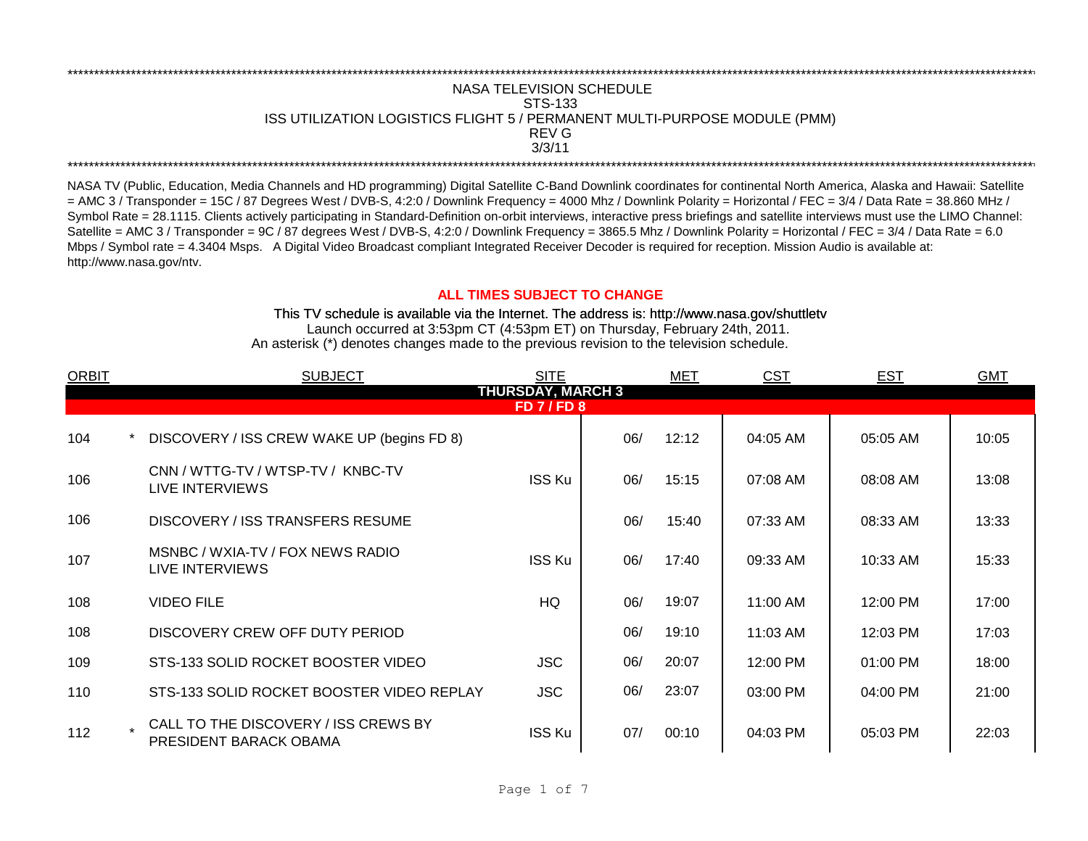## \*\*\*\*\*\*\*\*\*\*\*\*\*\*\*\*\*\*\*\*\*\*\*\*\*\*\*\*\*\*\*\*\*\*\*\*\*\*\*\*\*\*\*\*\*\*\*\*\*\*\*\*\*\*\*\*\*\*\*\*\*\*\*\*\*\*\*\*\*\*\*\*\*\*\*\*\*\*\*\*\*\*\*\*\*\*\*\*\*\*\*\*\*\*\*\*\*\*\*\*\*\*\*\*\*\*\*\*\*\*\*\*\*\*\*\*\*\*\*\*\*\*\*\*\*\*\*\*\*\*\*\*\*\*\*\*\*\*\*\*\*\*\*\*\*\*\*\*\*\*\*\*\*\*\*\*\*\*\*\*\*\*\*\*\*\*\*\*\*\*\*\*\*\*\*\*\*\*\*\*\*\*\*\*\* NASA TELEVISION SCHEDULE STS-133 ISS UTILIZATION LOGISTICS FLIGHT 5 / PERMANENT MULTI-PURPOSE MODULE (PMM) REV G \*\*\*\*\*\*\*\*\*\*\*\*\*\*\*\*\*\*\*\*\*\*\*\*\*\*\*\*\*\*\*\*\*\*\*\*\*\*\*\*\*\*\*\*\*\*\*\*\*\*\*\*\*\*\*\*\*\*\*\*\*\*\*\*\*\*\*\*\*\*\*\*\*\*\*\*\*\*\*\*\*\*\*\*\*\*\*\*\*\*\*\*\*\*\*\*\*\*\*\*\*\*\*\*\*\*\*\*\*\*\*\*\*\*\*\*\*\*\*\*\*\*\*\*\*\*\*\*\*\*\*\*\*\*\*\*\*\*\*\*\*\*\*\*\*\*\*\*\*\*\*\*\*\*\*\*\*\*\*\*\*\*\*\*\*\*\*\*\*\*\*\*\*\*\*\*\*\*\*\*\*\*\*\*\* 3/3/11

NASA TV (Public, Education, Media Channels and HD programming) Digital Satellite C-Band Downlink coordinates for continental North America, Alaska and Hawaii: Satellite  $=$  AMC 3 / Transponder = 15C / 87 Degrees West / DVB-S, 4:2:0 / Downlink Frequency = 4000 Mhz / Downlink Polarity = Horizontal / FEC = 3/4 / Data Rate = 38.860 MHz / Symbol Rate = 28.1115. Clients actively participating in Standard-Definition on-orbit interviews, interactive press briefings and satellite interviews must use the LIMO Channel: Satellite = AMC 3 / Transponder = 9C / 87 degrees West / DVB-S, 4:2:0 / Downlink Frequency = 3865.5 Mhz / Downlink Polarity = Horizontal / FEC = 3/4 / Data Rate = 6.0 Mbps / Symbol rate = 4.3404 Msps. A Digital Video Broadcast compliant Integrated Receiver Decoder is required for reception. Mission Audio is available at: http://www.nasa.gov/ntv.

## **ALL TIMES SUBJECT TO CHANGE**

Launch occurred at 3:53pm CT (4:53pm ET) on Thursday, February 24th, 2011. An asterisk (\*) denotes changes made to the previous revision to the television schedule. This TV schedule is available via the Internet. The address is: http://www.nasa.gov/shuttletv

| <b>ORBIT</b>                               | <b>SUBJECT</b>                                                 | <b>SITE</b>   |     | MET   | <b>CST</b> | <b>EST</b> | <b>GMT</b> |  |  |  |
|--------------------------------------------|----------------------------------------------------------------|---------------|-----|-------|------------|------------|------------|--|--|--|
| <b>THURSDAY, MARCH 3</b><br><b>FD7/FD8</b> |                                                                |               |     |       |            |            |            |  |  |  |
|                                            |                                                                |               |     |       |            |            |            |  |  |  |
| 104                                        | DISCOVERY / ISS CREW WAKE UP (begins FD 8)                     |               | 06/ | 12:12 | 04:05 AM   | 05:05 AM   | 10:05      |  |  |  |
| 106                                        | CNN / WTTG-TV / WTSP-TV / KNBC-TV<br>LIVE INTERVIEWS           | <b>ISS Ku</b> | 06/ | 15:15 | 07:08 AM   | 08:08 AM   | 13:08      |  |  |  |
| 106                                        | DISCOVERY / ISS TRANSFERS RESUME                               |               | 06/ | 15:40 | 07:33 AM   | 08:33 AM   | 13:33      |  |  |  |
| 107                                        | MSNBC / WXIA-TV / FOX NEWS RADIO<br>LIVE INTERVIEWS            | <b>ISS Ku</b> | 06/ | 17:40 | 09:33 AM   | 10:33 AM   | 15:33      |  |  |  |
| 108                                        | <b>VIDEO FILE</b>                                              | HQ            | 06/ | 19:07 | 11:00 AM   | 12:00 PM   | 17:00      |  |  |  |
| 108                                        | DISCOVERY CREW OFF DUTY PERIOD                                 |               | 06/ | 19:10 | 11:03 AM   | 12:03 PM   | 17:03      |  |  |  |
| 109                                        | STS-133 SOLID ROCKET BOOSTER VIDEO                             | <b>JSC</b>    | 06/ | 20:07 | 12:00 PM   | 01:00 PM   | 18:00      |  |  |  |
| 110                                        | STS-133 SOLID ROCKET BOOSTER VIDEO REPLAY                      | <b>JSC</b>    | 06/ | 23:07 | 03:00 PM   | 04:00 PM   | 21:00      |  |  |  |
| 112                                        | CALL TO THE DISCOVERY / ISS CREWS BY<br>PRESIDENT BARACK OBAMA | <b>ISS Ku</b> | 07/ | 00:10 | 04:03 PM   | 05:03 PM   | 22:03      |  |  |  |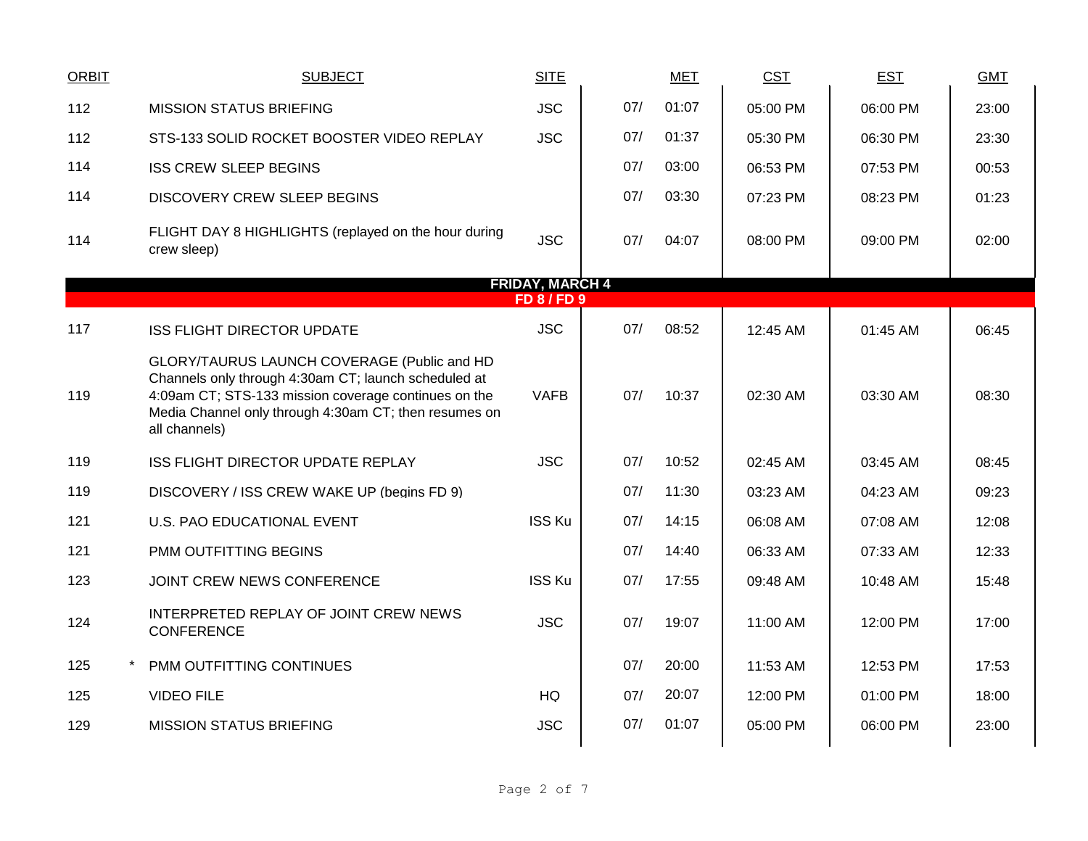| <b>ORBIT</b> | <b>SUBJECT</b>                                                                                                                                                                                                                        | <b>SITE</b>                       |     | <b>MET</b> | <b>CST</b> | <b>EST</b> | <b>GMT</b> |
|--------------|---------------------------------------------------------------------------------------------------------------------------------------------------------------------------------------------------------------------------------------|-----------------------------------|-----|------------|------------|------------|------------|
| 112          | <b>MISSION STATUS BRIEFING</b>                                                                                                                                                                                                        | <b>JSC</b>                        | 07/ | 01:07      | 05:00 PM   | 06:00 PM   | 23:00      |
| 112          | STS-133 SOLID ROCKET BOOSTER VIDEO REPLAY                                                                                                                                                                                             | <b>JSC</b>                        | 07/ | 01:37      | 05:30 PM   | 06:30 PM   | 23:30      |
| 114          | <b>ISS CREW SLEEP BEGINS</b>                                                                                                                                                                                                          |                                   | 07/ | 03:00      | 06:53 PM   | 07:53 PM   | 00:53      |
| 114          | <b>DISCOVERY CREW SLEEP BEGINS</b>                                                                                                                                                                                                    |                                   | 07/ | 03:30      | 07:23 PM   | 08:23 PM   | 01:23      |
| 114          | FLIGHT DAY 8 HIGHLIGHTS (replayed on the hour during<br>crew sleep)                                                                                                                                                                   | <b>JSC</b>                        | 07/ | 04:07      | 08:00 PM   | 09:00 PM   | 02:00      |
|              |                                                                                                                                                                                                                                       | <b>FRIDAY, MARCH 4</b><br>FD8/FD9 |     |            |            |            |            |
|              |                                                                                                                                                                                                                                       |                                   |     |            |            |            |            |
| 117          | <b>ISS FLIGHT DIRECTOR UPDATE</b>                                                                                                                                                                                                     | <b>JSC</b>                        | 07/ | 08:52      | 12:45 AM   | 01:45 AM   | 06:45      |
| 119          | GLORY/TAURUS LAUNCH COVERAGE (Public and HD<br>Channels only through 4:30am CT; launch scheduled at<br>4:09am CT; STS-133 mission coverage continues on the<br>Media Channel only through 4:30am CT; then resumes on<br>all channels) | <b>VAFB</b>                       | 07/ | 10:37      | 02:30 AM   | 03:30 AM   | 08:30      |
| 119          | ISS FLIGHT DIRECTOR UPDATE REPLAY                                                                                                                                                                                                     | <b>JSC</b>                        | 07/ | 10:52      | 02:45 AM   | 03:45 AM   | 08:45      |
| 119          | DISCOVERY / ISS CREW WAKE UP (begins FD 9)                                                                                                                                                                                            |                                   | 07/ | 11:30      | 03:23 AM   | 04:23 AM   | 09:23      |
| 121          | U.S. PAO EDUCATIONAL EVENT                                                                                                                                                                                                            | <b>ISS Ku</b>                     | 07/ | 14:15      | 06:08 AM   | 07:08 AM   | 12:08      |
| 121          | PMM OUTFITTING BEGINS                                                                                                                                                                                                                 |                                   | 07/ | 14:40      | 06:33 AM   | 07:33 AM   | 12:33      |
| 123          | JOINT CREW NEWS CONFERENCE                                                                                                                                                                                                            | <b>ISS Ku</b>                     | 07/ | 17:55      | 09:48 AM   | 10:48 AM   | 15:48      |
| 124          | INTERPRETED REPLAY OF JOINT CREW NEWS<br><b>CONFERENCE</b>                                                                                                                                                                            | <b>JSC</b>                        | 07/ | 19:07      | 11:00 AM   | 12:00 PM   | 17:00      |
| 125          | PMM OUTFITTING CONTINUES                                                                                                                                                                                                              |                                   | 07/ | 20:00      | 11:53 AM   | 12:53 PM   | 17:53      |
| 125          | <b>VIDEO FILE</b>                                                                                                                                                                                                                     | HQ                                | 07/ | 20:07      | 12:00 PM   | 01:00 PM   | 18:00      |
| 129          | <b>MISSION STATUS BRIEFING</b>                                                                                                                                                                                                        | <b>JSC</b>                        | 07/ | 01:07      | 05:00 PM   | 06:00 PM   | 23:00      |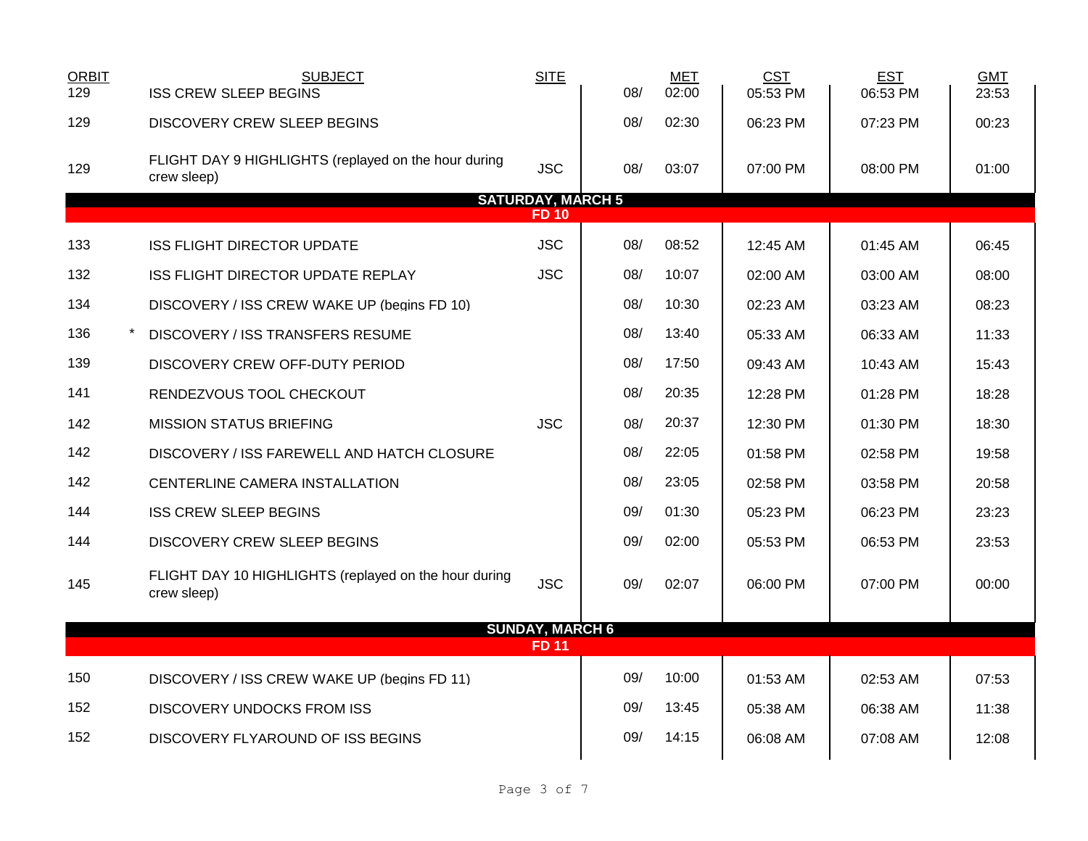| <b>ORBIT</b><br>129                     | <b>SUBJECT</b><br><b>ISS CREW SLEEP BEGINS</b>                       | <b>SITE</b>            | 08/ | <b>MET</b><br>02:00 | <b>CST</b><br>05:53 PM | <b>EST</b><br>06:53 PM | <b>GMT</b><br>23:53 |  |  |  |
|-----------------------------------------|----------------------------------------------------------------------|------------------------|-----|---------------------|------------------------|------------------------|---------------------|--|--|--|
| 129                                     | <b>DISCOVERY CREW SLEEP BEGINS</b>                                   |                        | 08/ | 02:30               | 06:23 PM               | 07:23 PM               | 00:23               |  |  |  |
| 129                                     | FLIGHT DAY 9 HIGHLIGHTS (replayed on the hour during<br>crew sleep)  | <b>JSC</b>             | 08/ | 03:07               | 07:00 PM               | 08:00 PM               | 01:00               |  |  |  |
| <b>SATURDAY, MARCH 5</b><br><b>FD10</b> |                                                                      |                        |     |                     |                        |                        |                     |  |  |  |
| 133                                     | <b>ISS FLIGHT DIRECTOR UPDATE</b>                                    | <b>JSC</b>             | 08/ | 08:52               | 12:45 AM               | $01:45$ AM             | 06:45               |  |  |  |
| 132                                     | ISS FLIGHT DIRECTOR UPDATE REPLAY                                    | <b>JSC</b>             | 08/ | 10:07               | 02:00 AM               | 03:00 AM               | 08:00               |  |  |  |
| 134                                     | DISCOVERY / ISS CREW WAKE UP (begins FD 10)                          |                        | 08/ | 10:30               | 02:23 AM               | 03:23 AM               | 08:23               |  |  |  |
| 136                                     | DISCOVERY / ISS TRANSFERS RESUME                                     |                        | 08/ | 13:40               | 05:33 AM               | 06:33 AM               | 11:33               |  |  |  |
| 139                                     | DISCOVERY CREW OFF-DUTY PERIOD                                       |                        | 08/ | 17:50               | 09:43 AM               | 10:43 AM               | 15:43               |  |  |  |
| 141                                     | RENDEZVOUS TOOL CHECKOUT                                             |                        | 08/ | 20:35               | 12:28 PM               | 01:28 PM               | 18:28               |  |  |  |
| 142                                     | <b>MISSION STATUS BRIEFING</b>                                       | <b>JSC</b>             | 08/ | 20:37               | 12:30 PM               | 01:30 PM               | 18:30               |  |  |  |
| 142                                     | DISCOVERY / ISS FAREWELL AND HATCH CLOSURE                           |                        | 08/ | 22:05               | 01:58 PM               | 02:58 PM               | 19:58               |  |  |  |
| 142                                     | CENTERLINE CAMERA INSTALLATION                                       |                        | 08/ | 23:05               | 02:58 PM               | 03:58 PM               | 20:58               |  |  |  |
| 144                                     | <b>ISS CREW SLEEP BEGINS</b>                                         |                        | 09/ | 01:30               | 05:23 PM               | 06:23 PM               | 23:23               |  |  |  |
| 144                                     | <b>DISCOVERY CREW SLEEP BEGINS</b>                                   |                        | 09/ | 02:00               | 05:53 PM               | 06:53 PM               | 23:53               |  |  |  |
| 145                                     | FLIGHT DAY 10 HIGHLIGHTS (replayed on the hour during<br>crew sleep) | <b>JSC</b>             | 09/ | 02:07               | 06:00 PM               | 07:00 PM               | 00:00               |  |  |  |
|                                         |                                                                      | <b>SUNDAY, MARCH 6</b> |     |                     |                        |                        |                     |  |  |  |
|                                         |                                                                      | <b>FD11</b>            |     |                     |                        |                        |                     |  |  |  |
| 150                                     | DISCOVERY / ISS CREW WAKE UP (begins FD 11)                          |                        | 09/ | 10:00               | 01:53 AM               | 02:53 AM               | 07:53               |  |  |  |
| 152                                     | <b>DISCOVERY UNDOCKS FROM ISS</b>                                    |                        | 09/ | 13:45               | 05:38 AM               | 06:38 AM               | 11:38               |  |  |  |
| 152                                     | DISCOVERY FLYAROUND OF ISS BEGINS                                    |                        | 09/ | 14:15               | 06:08 AM               | 07:08 AM               | 12:08               |  |  |  |
|                                         |                                                                      |                        |     |                     |                        |                        |                     |  |  |  |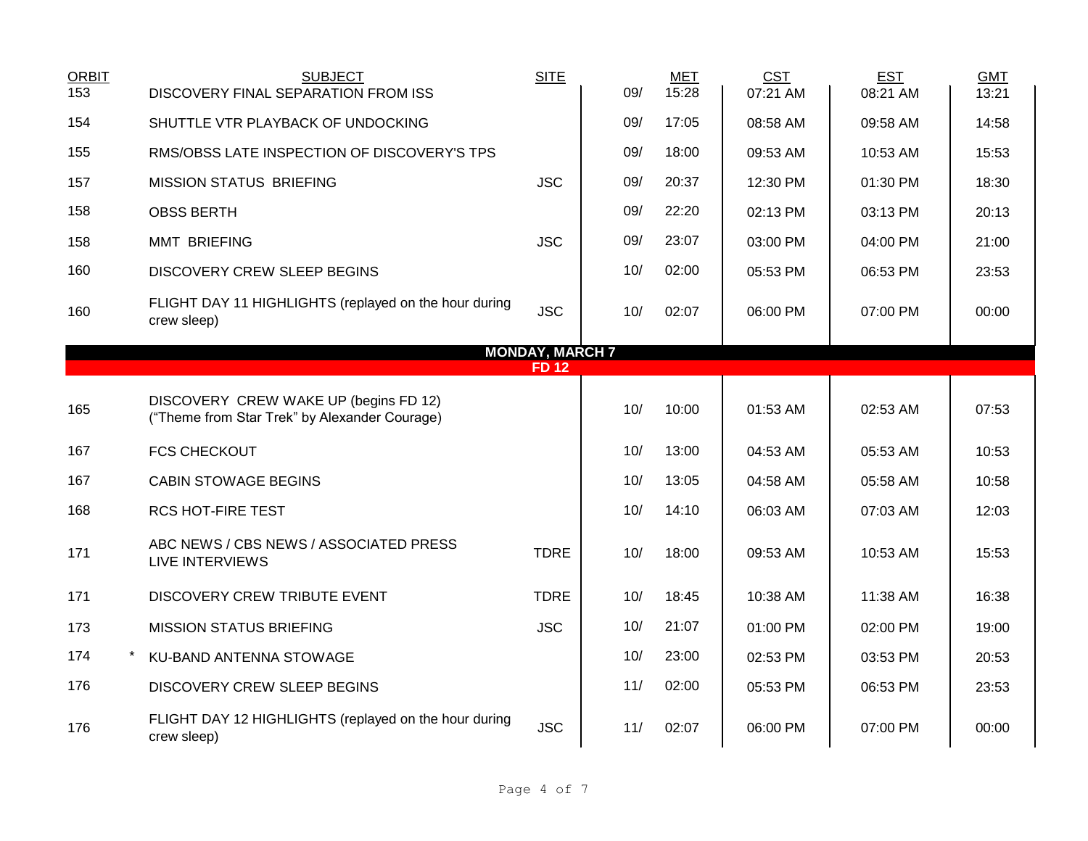| <b>ORBIT</b><br>153 | <b>SUBJECT</b><br>DISCOVERY FINAL SEPARATION FROM ISS                                  | <b>SITE</b>            | 09/ | <b>MET</b><br>15:28 | <b>CST</b><br>07:21 AM | <b>EST</b><br>08:21 AM | <b>GMT</b><br>13:21 |
|---------------------|----------------------------------------------------------------------------------------|------------------------|-----|---------------------|------------------------|------------------------|---------------------|
| 154                 | SHUTTLE VTR PLAYBACK OF UNDOCKING                                                      |                        | 09/ | 17:05               | 08:58 AM               | 09:58 AM               | 14:58               |
| 155                 | RMS/OBSS LATE INSPECTION OF DISCOVERY'S TPS                                            |                        | 09/ | 18:00               | 09:53 AM               | 10:53 AM               | 15:53               |
| 157                 | <b>MISSION STATUS BRIEFING</b>                                                         | <b>JSC</b>             | 09/ | 20:37               | 12:30 PM               | 01:30 PM               | 18:30               |
| 158                 | <b>OBSS BERTH</b>                                                                      |                        | 09/ | 22:20               | 02:13 PM               | 03:13 PM               | 20:13               |
| 158                 | <b>MMT BRIEFING</b>                                                                    | <b>JSC</b>             | 09/ | 23:07               | 03:00 PM               | 04:00 PM               | 21:00               |
| 160                 | <b>DISCOVERY CREW SLEEP BEGINS</b>                                                     |                        | 10/ | 02:00               | 05:53 PM               | 06:53 PM               | 23:53               |
| 160                 | FLIGHT DAY 11 HIGHLIGHTS (replayed on the hour during<br>crew sleep)                   | <b>JSC</b>             | 10/ | 02:07               | 06:00 PM               | 07:00 PM               | 00:00               |
|                     |                                                                                        | <b>MONDAY, MARCH 7</b> |     |                     |                        |                        |                     |
|                     |                                                                                        | <b>FD12</b>            |     |                     |                        |                        |                     |
| 165                 | DISCOVERY CREW WAKE UP (begins FD 12)<br>("Theme from Star Trek" by Alexander Courage) |                        | 10/ | 10:00               | 01:53 AM               | 02:53 AM               | 07:53               |
| 167                 | <b>FCS CHECKOUT</b>                                                                    |                        | 10/ | 13:00               | 04:53 AM               | 05:53 AM               | 10:53               |
| 167                 | <b>CABIN STOWAGE BEGINS</b>                                                            |                        | 10/ | 13:05               | 04:58 AM               | 05:58 AM               | 10:58               |
| 168                 | <b>RCS HOT-FIRE TEST</b>                                                               |                        | 10/ | 14:10               | 06:03 AM               | 07:03 AM               | 12:03               |
| 171                 | ABC NEWS / CBS NEWS / ASSOCIATED PRESS<br><b>LIVE INTERVIEWS</b>                       | <b>TDRE</b>            | 10/ | 18:00               | 09:53 AM               | 10:53 AM               | 15:53               |
| 171                 | DISCOVERY CREW TRIBUTE EVENT                                                           | <b>TDRE</b>            | 10/ | 18:45               | 10:38 AM               | 11:38 AM               | 16:38               |
| 173                 | <b>MISSION STATUS BRIEFING</b>                                                         | <b>JSC</b>             | 10/ | 21:07               | 01:00 PM               | 02:00 PM               | 19:00               |
| 174                 | KU-BAND ANTENNA STOWAGE                                                                |                        | 10/ | 23:00               | 02:53 PM               | 03:53 PM               | 20:53               |
| 176                 | <b>DISCOVERY CREW SLEEP BEGINS</b>                                                     |                        | 11/ | 02:00               | 05:53 PM               | 06:53 PM               | 23:53               |
| 176                 | FLIGHT DAY 12 HIGHLIGHTS (replayed on the hour during<br>crew sleep)                   | <b>JSC</b>             | 11/ | 02:07               | 06:00 PM               | 07:00 PM               | 00:00               |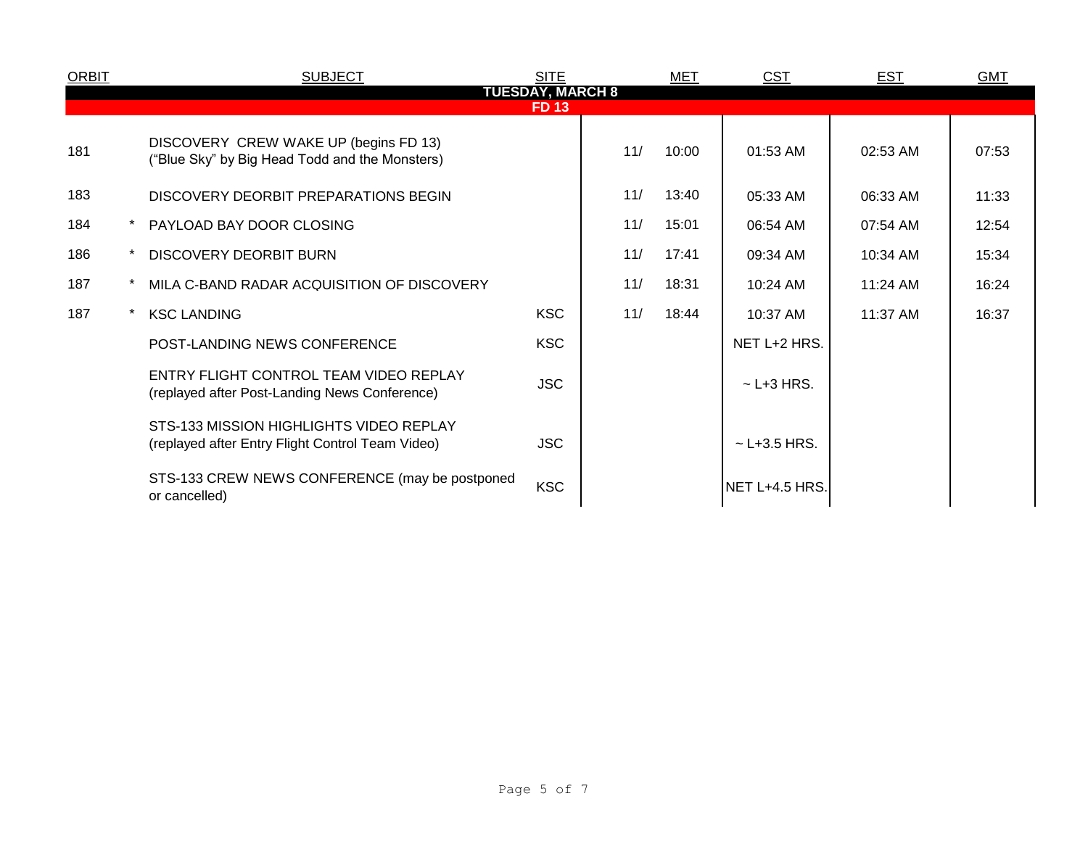| <b>ORBIT</b> |                         | <b>SUBJECT</b>                                                                              | <b>SITE</b> |     | MET   | <b>CST</b>        | <b>EST</b> | <b>GMT</b> |  |  |  |
|--------------|-------------------------|---------------------------------------------------------------------------------------------|-------------|-----|-------|-------------------|------------|------------|--|--|--|
|              | <b>TUESDAY, MARCH 8</b> |                                                                                             |             |     |       |                   |            |            |  |  |  |
|              | <b>FD13</b>             |                                                                                             |             |     |       |                   |            |            |  |  |  |
| 181          |                         | DISCOVERY CREW WAKE UP (begins FD 13)<br>("Blue Sky" by Big Head Todd and the Monsters)     |             | 11/ | 10:00 | 01:53 AM          | 02:53 AM   | 07:53      |  |  |  |
| 183          |                         | DISCOVERY DEORBIT PREPARATIONS BEGIN                                                        |             | 11/ | 13:40 | 05:33 AM          | 06:33 AM   | 11:33      |  |  |  |
| 184          |                         | PAYLOAD BAY DOOR CLOSING                                                                    |             | 11/ | 15:01 | 06:54 AM          | 07:54 AM   | 12:54      |  |  |  |
| 186          |                         | <b>DISCOVERY DEORBIT BURN</b>                                                               |             | 11/ | 17:41 | 09:34 AM          | 10:34 AM   | 15:34      |  |  |  |
| 187          |                         | MILA C-BAND RADAR ACQUISITION OF DISCOVERY                                                  |             | 11/ | 18:31 | 10:24 AM          | 11:24 AM   | 16:24      |  |  |  |
| 187          |                         | <b>KSC LANDING</b>                                                                          | <b>KSC</b>  | 11/ | 18:44 | 10:37 AM          | 11:37 AM   | 16:37      |  |  |  |
|              |                         | POST-LANDING NEWS CONFERENCE                                                                | <b>KSC</b>  |     |       | NET L+2 HRS.      |            |            |  |  |  |
|              |                         | ENTRY FLIGHT CONTROL TEAM VIDEO REPLAY<br>(replayed after Post-Landing News Conference)     | <b>JSC</b>  |     |       | $\sim$ L+3 HRS.   |            |            |  |  |  |
|              |                         | STS-133 MISSION HIGHLIGHTS VIDEO REPLAY<br>(replayed after Entry Flight Control Team Video) | <b>JSC</b>  |     |       | $\sim$ L+3.5 HRS. |            |            |  |  |  |
|              |                         | STS-133 CREW NEWS CONFERENCE (may be postponed<br>or cancelled)                             | <b>KSC</b>  |     |       | NET L+4.5 HRS.    |            |            |  |  |  |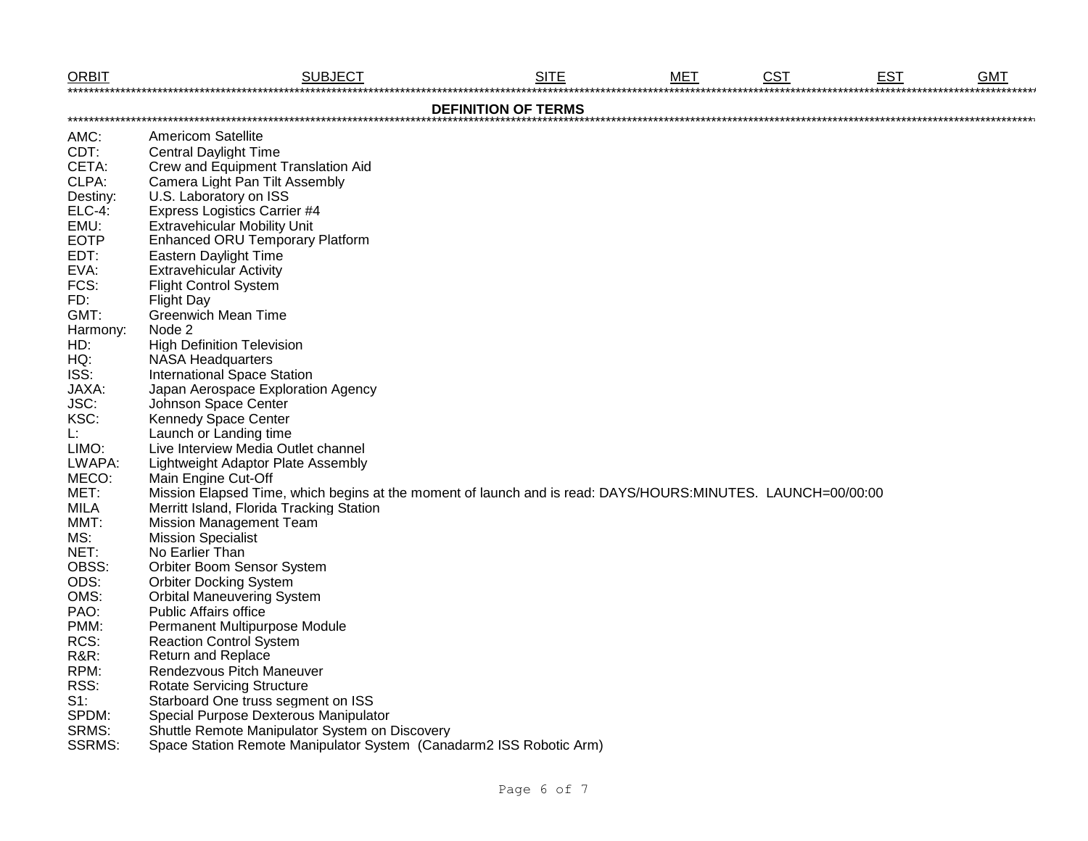| <b>ORBIT</b>    | <b>SUBJECT</b>                                                                                              | <b>SITE</b>                | <b>MET</b> | <b>CST</b> | <b>EST</b> | <b>GMT</b> |
|-----------------|-------------------------------------------------------------------------------------------------------------|----------------------------|------------|------------|------------|------------|
|                 |                                                                                                             | <b>DEFINITION OF TERMS</b> |            |            |            |            |
| AMC:            | <b>Americom Satellite</b>                                                                                   |                            |            |            |            |            |
| CDT:            | <b>Central Daylight Time</b>                                                                                |                            |            |            |            |            |
| CETA:           | Crew and Equipment Translation Aid                                                                          |                            |            |            |            |            |
| CLPA:           | Camera Light Pan Tilt Assembly                                                                              |                            |            |            |            |            |
| Destiny:        | U.S. Laboratory on ISS                                                                                      |                            |            |            |            |            |
| <b>ELC-4:</b>   | <b>Express Logistics Carrier #4</b>                                                                         |                            |            |            |            |            |
| EMU:            | <b>Extravehicular Mobility Unit</b>                                                                         |                            |            |            |            |            |
| <b>EOTP</b>     | Enhanced ORU Temporary Platform                                                                             |                            |            |            |            |            |
| EDT:            | <b>Eastern Daylight Time</b>                                                                                |                            |            |            |            |            |
| EVA:            | <b>Extravehicular Activity</b>                                                                              |                            |            |            |            |            |
| FCS:            | <b>Flight Control System</b>                                                                                |                            |            |            |            |            |
| FD:             | <b>Flight Day</b>                                                                                           |                            |            |            |            |            |
| GMT:            | <b>Greenwich Mean Time</b>                                                                                  |                            |            |            |            |            |
| Harmony:        | Node 2                                                                                                      |                            |            |            |            |            |
| HD:             | <b>High Definition Television</b>                                                                           |                            |            |            |            |            |
| HQ:             | <b>NASA Headquarters</b>                                                                                    |                            |            |            |            |            |
| ISS:            | <b>International Space Station</b>                                                                          |                            |            |            |            |            |
| JAXA:           | Japan Aerospace Exploration Agency                                                                          |                            |            |            |            |            |
| JSC:            | Johnson Space Center                                                                                        |                            |            |            |            |            |
| KSC:            | <b>Kennedy Space Center</b>                                                                                 |                            |            |            |            |            |
| Ŀ.              | Launch or Landing time                                                                                      |                            |            |            |            |            |
| LIMO:           | Live Interview Media Outlet channel                                                                         |                            |            |            |            |            |
| LWAPA:          | Lightweight Adaptor Plate Assembly                                                                          |                            |            |            |            |            |
| MECO:           | Main Engine Cut-Off                                                                                         |                            |            |            |            |            |
| MET:            | Mission Elapsed Time, which begins at the moment of launch and is read: DAYS/HOURS:MINUTES. LAUNCH=00/00:00 |                            |            |            |            |            |
| <b>MILA</b>     | Merritt Island, Florida Tracking Station                                                                    |                            |            |            |            |            |
| MMT:            | <b>Mission Management Team</b>                                                                              |                            |            |            |            |            |
| MS:             | <b>Mission Specialist</b>                                                                                   |                            |            |            |            |            |
| NET:            | No Earlier Than                                                                                             |                            |            |            |            |            |
| OBSS:           | <b>Orbiter Boom Sensor System</b>                                                                           |                            |            |            |            |            |
| ODS:            | <b>Orbiter Docking System</b>                                                                               |                            |            |            |            |            |
| OMS:            | <b>Orbital Maneuvering System</b>                                                                           |                            |            |            |            |            |
| PAO:            | <b>Public Affairs office</b>                                                                                |                            |            |            |            |            |
| PMM:            | Permanent Multipurpose Module                                                                               |                            |            |            |            |            |
| RCS:            | <b>Reaction Control System</b>                                                                              |                            |            |            |            |            |
| <b>R&amp;R:</b> | <b>Return and Replace</b>                                                                                   |                            |            |            |            |            |
| RPM:            | Rendezvous Pitch Maneuver                                                                                   |                            |            |            |            |            |
| RSS:            | <b>Rotate Servicing Structure</b>                                                                           |                            |            |            |            |            |
| $S1$ :          | Starboard One truss segment on ISS                                                                          |                            |            |            |            |            |
| SPDM:           | Special Purpose Dexterous Manipulator                                                                       |                            |            |            |            |            |
| SRMS:           | Shuttle Remote Manipulator System on Discovery                                                              |                            |            |            |            |            |
| <b>SSRMS:</b>   | Space Station Remote Manipulator System (Canadarm2 ISS Robotic Arm)                                         |                            |            |            |            |            |